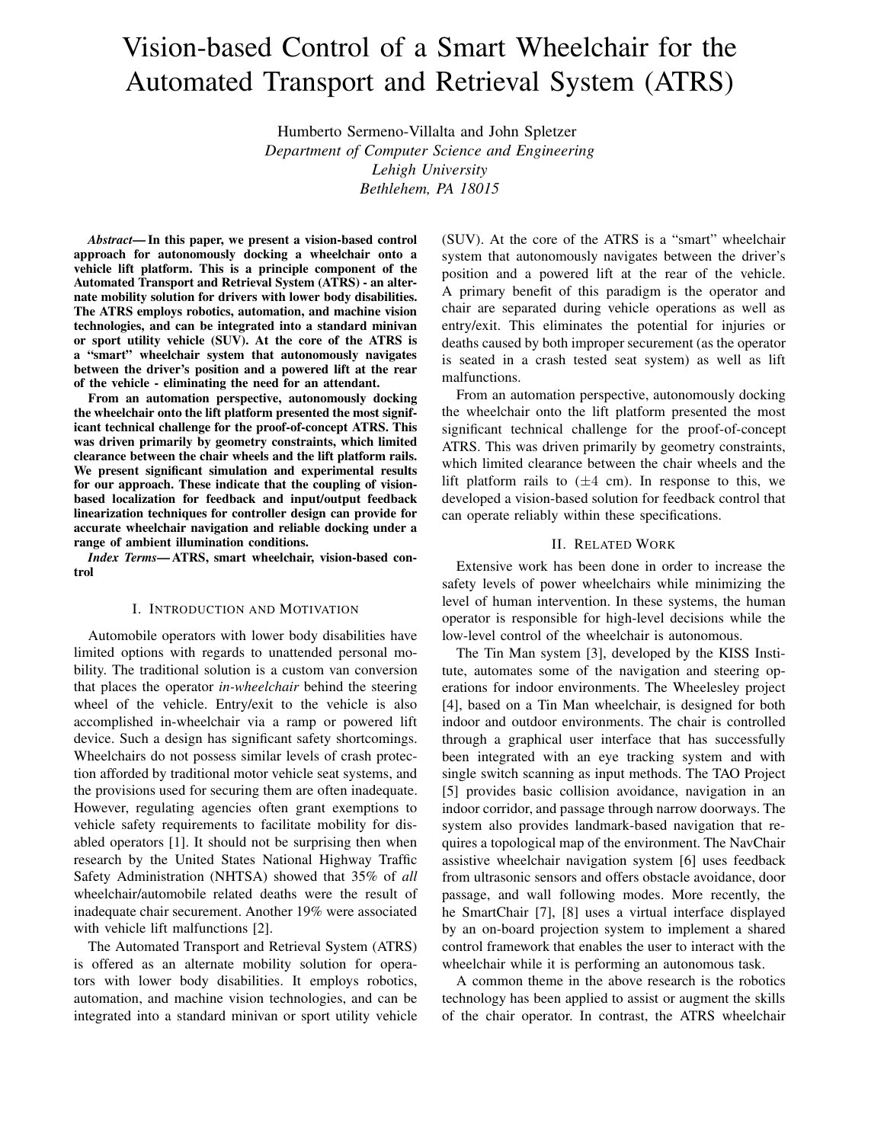# Vision-based Control of a Smart Wheelchair for the Automated Transport and Retrieval System (ATRS)

Humberto Sermeno-Villalta and John Spletzer *Department of Computer Science and Engineering Lehigh University Bethlehem, PA 18015*

*Abstract***— In this paper, we present a vision-based control approach for autonomously docking a wheelchair onto a vehicle lift platform. This is a principle component of the Automated Transport and Retrieval System (ATRS) - an alternate mobility solution for drivers with lower body disabilities. The ATRS employs robotics, automation, and machine vision technologies, and can be integrated into a standard minivan or sport utility vehicle (SUV). At the core of the ATRS is a "smart" wheelchair system that autonomously navigates between the driver's position and a powered lift at the rear of the vehicle - eliminating the need for an attendant.**

**From an automation perspective, autonomously docking the wheelchair onto the lift platform presented the most significant technical challenge for the proof-of-concept ATRS. This was driven primarily by geometry constraints, which limited clearance between the chair wheels and the lift platform rails. We present significant simulation and experimental results for our approach. These indicate that the coupling of visionbased localization for feedback and input/output feedback linearization techniques for controller design can provide for accurate wheelchair navigation and reliable docking under a range of ambient illumination conditions.**

*Index Terms***— ATRS, smart wheelchair, vision-based control**

## I. INTRODUCTION AND MOTIVATION

Automobile operators with lower body disabilities have limited options with regards to unattended personal mobility. The traditional solution is a custom van conversion that places the operator *in-wheelchair* behind the steering wheel of the vehicle. Entry/exit to the vehicle is also accomplished in-wheelchair via a ramp or powered lift device. Such a design has significant safety shortcomings. Wheelchairs do not possess similar levels of crash protection afforded by traditional motor vehicle seat systems, and the provisions used for securing them are often inadequate. However, regulating agencies often grant exemptions to vehicle safety requirements to facilitate mobility for disabled operators [1]. It should not be surprising then when research by the United States National Highway Traffic Safety Administration (NHTSA) showed that 35% of *all* wheelchair/automobile related deaths were the result of inadequate chair securement. Another 19% were associated with vehicle lift malfunctions [2].

The Automated Transport and Retrieval System (ATRS) is offered as an alternate mobility solution for operators with lower body disabilities. It employs robotics, automation, and machine vision technologies, and can be integrated into a standard minivan or sport utility vehicle (SUV). At the core of the ATRS is a "smart" wheelchair system that autonomously navigates between the driver's position and a powered lift at the rear of the vehicle. A primary benefit of this paradigm is the operator and chair are separated during vehicle operations as well as entry/exit. This eliminates the potential for injuries or deaths caused by both improper securement (as the operator is seated in a crash tested seat system) as well as lift malfunctions.

From an automation perspective, autonomously docking the wheelchair onto the lift platform presented the most significant technical challenge for the proof-of-concept ATRS. This was driven primarily by geometry constraints, which limited clearance between the chair wheels and the lift platform rails to  $(\pm 4 \text{ cm})$ . In response to this, we developed a vision-based solution for feedback control that can operate reliably within these specifications.

#### II. RELATED WORK

Extensive work has been done in order to increase the safety levels of power wheelchairs while minimizing the level of human intervention. In these systems, the human operator is responsible for high-level decisions while the low-level control of the wheelchair is autonomous.

The Tin Man system [3], developed by the KISS Institute, automates some of the navigation and steering operations for indoor environments. The Wheelesley project [4], based on a Tin Man wheelchair, is designed for both indoor and outdoor environments. The chair is controlled through a graphical user interface that has successfully been integrated with an eye tracking system and with single switch scanning as input methods. The TAO Project [5] provides basic collision avoidance, navigation in an indoor corridor, and passage through narrow doorways. The system also provides landmark-based navigation that requires a topological map of the environment. The NavChair assistive wheelchair navigation system [6] uses feedback from ultrasonic sensors and offers obstacle avoidance, door passage, and wall following modes. More recently, the he SmartChair [7], [8] uses a virtual interface displayed by an on-board projection system to implement a shared control framework that enables the user to interact with the wheelchair while it is performing an autonomous task.

A common theme in the above research is the robotics technology has been applied to assist or augment the skills of the chair operator. In contrast, the ATRS wheelchair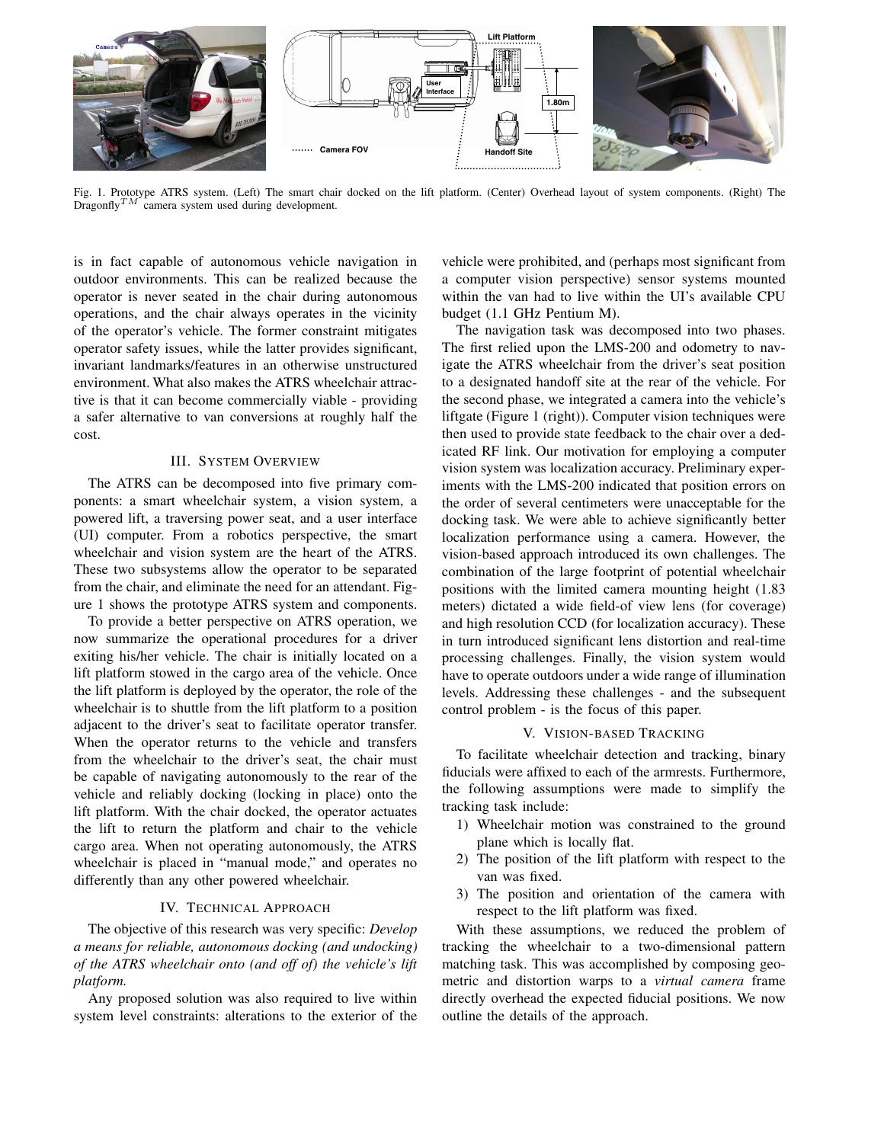

Fig. 1. Prototype ATRS system. (Left) The smart chair docked on the lift platform. (Center) Overhead layout of system components. (Right) The Dragonfly*TM* camera system used during development.

is in fact capable of autonomous vehicle navigation in outdoor environments. This can be realized because the operator is never seated in the chair during autonomous operations, and the chair always operates in the vicinity of the operator's vehicle. The former constraint mitigates operator safety issues, while the latter provides significant, invariant landmarks/features in an otherwise unstructured environment. What also makes the ATRS wheelchair attractive is that it can become commercially viable - providing a safer alternative to van conversions at roughly half the cost.

# III. SYSTEM OVERVIEW

The ATRS can be decomposed into five primary components: a smart wheelchair system, a vision system, a powered lift, a traversing power seat, and a user interface (UI) computer. From a robotics perspective, the smart wheelchair and vision system are the heart of the ATRS. These two subsystems allow the operator to be separated from the chair, and eliminate the need for an attendant. Figure 1 shows the prototype ATRS system and components.

To provide a better perspective on ATRS operation, we now summarize the operational procedures for a driver exiting his/her vehicle. The chair is initially located on a lift platform stowed in the cargo area of the vehicle. Once the lift platform is deployed by the operator, the role of the wheelchair is to shuttle from the lift platform to a position adjacent to the driver's seat to facilitate operator transfer. When the operator returns to the vehicle and transfers from the wheelchair to the driver's seat, the chair must be capable of navigating autonomously to the rear of the vehicle and reliably docking (locking in place) onto the lift platform. With the chair docked, the operator actuates the lift to return the platform and chair to the vehicle cargo area. When not operating autonomously, the ATRS wheelchair is placed in "manual mode," and operates no differently than any other powered wheelchair.

# IV. TECHNICAL APPROACH

The objective of this research was very specific: *Develop a means for reliable, autonomous docking (and undocking) of the ATRS wheelchair onto (and off of) the vehicle's lift platform.*

Any proposed solution was also required to live within system level constraints: alterations to the exterior of the vehicle were prohibited, and (perhaps most significant from a computer vision perspective) sensor systems mounted within the van had to live within the UI's available CPU budget (1.1 GHz Pentium M).

The navigation task was decomposed into two phases. The first relied upon the LMS-200 and odometry to navigate the ATRS wheelchair from the driver's seat position to a designated handoff site at the rear of the vehicle. For the second phase, we integrated a camera into the vehicle's liftgate (Figure 1 (right)). Computer vision techniques were then used to provide state feedback to the chair over a dedicated RF link. Our motivation for employing a computer vision system was localization accuracy. Preliminary experiments with the LMS-200 indicated that position errors on the order of several centimeters were unacceptable for the docking task. We were able to achieve significantly better localization performance using a camera. However, the vision-based approach introduced its own challenges. The combination of the large footprint of potential wheelchair positions with the limited camera mounting height (1.83 meters) dictated a wide field-of view lens (for coverage) and high resolution CCD (for localization accuracy). These in turn introduced significant lens distortion and real-time processing challenges. Finally, the vision system would have to operate outdoors under a wide range of illumination levels. Addressing these challenges - and the subsequent control problem - is the focus of this paper.

#### V. VISION-BASED TRACKING

To facilitate wheelchair detection and tracking, binary fiducials were affixed to each of the armrests. Furthermore, the following assumptions were made to simplify the tracking task include:

- 1) Wheelchair motion was constrained to the ground plane which is locally flat.
- 2) The position of the lift platform with respect to the van was fixed.
- 3) The position and orientation of the camera with respect to the lift platform was fixed.

With these assumptions, we reduced the problem of tracking the wheelchair to a two-dimensional pattern matching task. This was accomplished by composing geometric and distortion warps to a *virtual camera* frame directly overhead the expected fiducial positions. We now outline the details of the approach.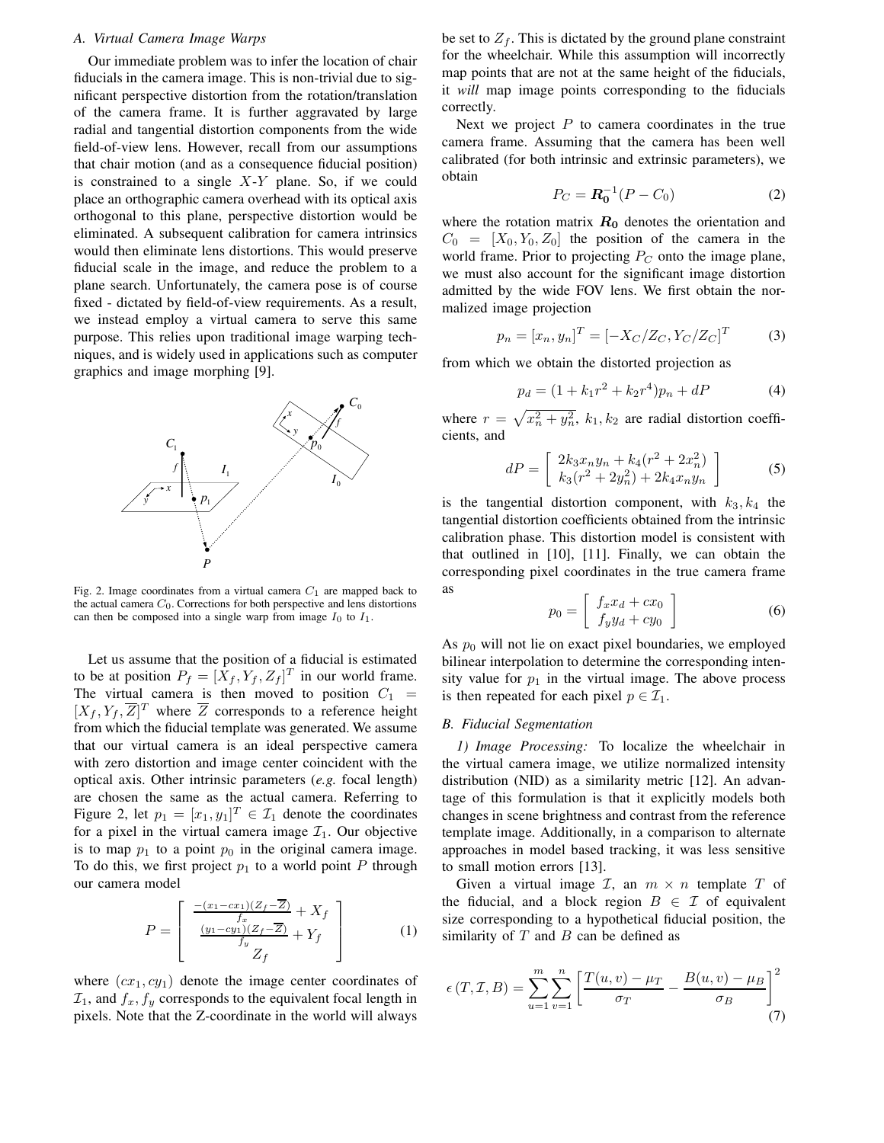## *A. Virtual Camera Image Warps*

Our immediate problem was to infer the location of chair fiducials in the camera image. This is non-trivial due to significant perspective distortion from the rotation/translation of the camera frame. It is further aggravated by large radial and tangential distortion components from the wide field-of-view lens. However, recall from our assumptions that chair motion (and as a consequence fiducial position) is constrained to a single  $X-Y$  plane. So, if we could place an orthographic camera overhead with its optical axis orthogonal to this plane, perspective distortion would be eliminated. A subsequent calibration for camera intrinsics would then eliminate lens distortions. This would preserve fiducial scale in the image, and reduce the problem to a plane search. Unfortunately, the camera pose is of course fixed - dictated by field-of-view requirements. As a result, we instead employ a virtual camera to serve this same purpose. This relies upon traditional image warping techniques, and is widely used in applications such as computer graphics and image morphing [9].



Fig. 2. Image coordinates from a virtual camera  $C_1$  are mapped back to the actual camera  $C_0$ . Corrections for both perspective and lens distortions can then be composed into a single warp from image  $I_0$  to  $I_1$ .

Let us assume that the position of a fiducial is estimated to be at position  $P_f = [\dot{X}_f, Y_f, Z_f]^T$  in our world frame.<br>The virtual camera is then moved to position  $C_t$ The virtual camera is then moved to position  $C_1 = [X \cdot Y \cdot \overline{Z}]^T$  where  $\overline{Z}$  corresponds to a reference being  $[X_f, Y_f, \overline{Z}]^T$  where  $\overline{Z}$  corresponds to a reference height<br>from which the fiducial template was generated. We assume from which the fiducial template was generated. We assume that our virtual camera is an ideal perspective camera with zero distortion and image center coincident with the optical axis. Other intrinsic parameters (*e.g.* focal length) are chosen the same as the actual camera. Referring to Figure 2, let  $p_1 = [x_1, y_1]^T \in \mathcal{I}_1$  denote the coordinates for a pixel in the virtual camera image  $\mathcal{I}_2$ . Our objective for a pixel in the virtual camera image  $\mathcal{I}_1$ . Our objective is to map  $p_1$  to a point  $p_0$  in the original camera image. To do this, we first project  $p_1$  to a world point P through our camera model

$$
P = \begin{bmatrix} \frac{-(x_1 - cx_1)(Z_f - \overline{Z})}{f_x} + X_f \\ \frac{(y_1 - cy_1)(Z_f - \overline{Z})}{f_y} + Y_f \\ Z_f \end{bmatrix}
$$
 (1)

where  $(cx_1, cy_1)$  denote the image center coordinates of  $\mathcal{I}_1$ , and  $f_x, f_y$  corresponds to the equivalent focal length in pixels. Note that the Z-coordinate in the world will always be set to  $Z_f$ . This is dictated by the ground plane constraint for the wheelchair. While this assumption will incorrectly map points that are not at the same height of the fiducials, it *will* map image points corresponding to the fiducials correctly.

Next we project  $P$  to camera coordinates in the true camera frame. Assuming that the camera has been well calibrated (for both intrinsic and extrinsic parameters), we obtain

$$
P_C = \mathbf{R}_0^{-1} (P - C_0)
$$
 (2)

where the rotation matrix  $R_0$  denotes the orientation and  $C_0 = [X_0, Y_0, Z_0]$  the position of the camera in the world frame. Prior to projecting P*<sup>C</sup>* onto the image plane, we must also account for the significant image distortion admitted by the wide FOV lens. We first obtain the normalized image projection

$$
p_n = [x_n, y_n]^T = [-X_C/Z_C, Y_C/Z_C]^T
$$
 (3)

from which we obtain the distorted projection as

$$
p_d = (1 + k_1 r^2 + k_2 r^4) p_n + dP \tag{4}
$$

where  $r = \sqrt{x_n^2 + y_n^2}$ ,  $k_1, k_2$  are radial distortion coefficients and cients, and

$$
dP = \left[ \begin{array}{c} 2k_3x_ny_n + k_4(r^2 + 2x_n^2) \\ k_3(r^2 + 2y_n^2) + 2k_4x_ny_n \end{array} \right] \tag{5}
$$

is the tangential distortion component, with  $k_3, k_4$  the tangential distortion coefficients obtained from the intrinsic calibration phase. This distortion model is consistent with that outlined in [10], [11]. Finally, we can obtain the corresponding pixel coordinates in the true camera frame as

$$
p_0 = \left[ \begin{array}{c} f_x x_d + c x_0 \\ f_y y_d + c y_0 \end{array} \right] \tag{6}
$$

As  $p_0$  will not lie on exact pixel boundaries, we employed bilinear interpolation to determine the corresponding intensity value for  $p_1$  in the virtual image. The above process is then repeated for each pixel  $p \in \mathcal{I}_1$ .

# *B. Fiducial Segmentation*

*1) Image Processing:* To localize the wheelchair in the virtual camera image, we utilize normalized intensity distribution (NID) as a similarity metric [12]. An advantage of this formulation is that it explicitly models both changes in scene brightness and contrast from the reference template image. Additionally, in a comparison to alternate approaches in model based tracking, it was less sensitive to small motion errors [13].

Given a virtual image  $\mathcal{I}$ , an  $m \times n$  template  $T$  of the fiducial, and a block region  $B \in \mathcal{I}$  of equivalent size corresponding to a hypothetical fiducial position, the similarity of  $T$  and  $B$  can be defined as

$$
\epsilon(T, \mathcal{I}, B) = \sum_{u=1}^{m} \sum_{v=1}^{n} \left[ \frac{T(u, v) - \mu_T}{\sigma_T} - \frac{B(u, v) - \mu_B}{\sigma_B} \right]^2 \tag{7}
$$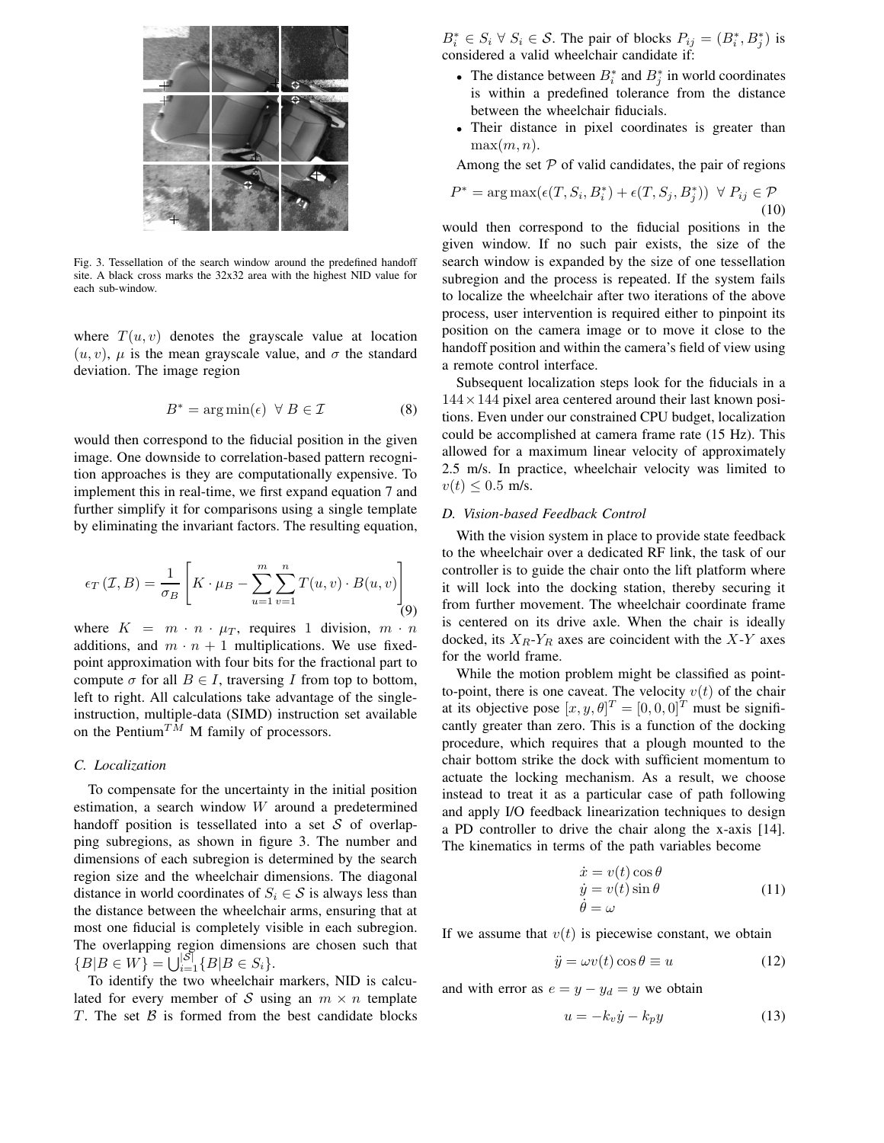

Fig. 3. Tessellation of the search window around the predefined handoff site. A black cross marks the 32x32 area with the highest NID value for each sub-window.

where  $T(u, v)$  denotes the grayscale value at location  $(u, v)$ ,  $\mu$  is the mean grayscale value, and  $\sigma$  the standard deviation. The image region

$$
B^* = \arg\min(\epsilon) \ \ \forall \ B \in \mathcal{I} \tag{8}
$$

would then correspond to the fiducial position in the given image. One downside to correlation-based pattern recognition approaches is they are computationally expensive. To implement this in real-time, we first expand equation 7 and further simplify it for comparisons using a single template by eliminating the invariant factors. The resulting equation,

$$
\epsilon_T(\mathcal{I}, B) = \frac{1}{\sigma_B} \left[ K \cdot \mu_B - \sum_{u=1}^m \sum_{v=1}^n T(u, v) \cdot B(u, v) \right] \tag{9}
$$

where  $K = m \cdot n \cdot \mu_T$ , requires 1 division,  $m \cdot n$ additions, and  $m \cdot n + 1$  multiplications. We use fixedpoint approximation with four bits for the fractional part to compute  $\sigma$  for all  $B \in I$ , traversing I from top to bottom, left to right. All calculations take advantage of the singleinstruction, multiple-data (SIMD) instruction set available on the Pentium<sup> $T\dot{M}$ </sup> M family of processors.

## *C. Localization*

To compensate for the uncertainty in the initial position estimation, a search window W around a predetermined handoff position is tessellated into a set  $S$  of overlapping subregions, as shown in figure 3. The number and dimensions of each subregion is determined by the search region size and the wheelchair dimensions. The diagonal distance in world coordinates of  $S_i \in \mathcal{S}$  is always less than the distance between the wheelchair arms, ensuring that at most one fiducial is completely visible in each subregion. The overlapping region dimensions are chosen such that  ${B|B \in W} = \bigcup_{i=1}^{|S|} {B|B \in S_i}.$ <br>To identify the two wheelchair

To identify the two wheelchair markers, NID is calculated for every member of S using an  $m \times n$  template T. The set  $\beta$  is formed from the best candidate blocks

 $B_i^* \in S_i \,\forall\ S_i \in \mathcal{S}$ . The pair of blocks  $P_{ij} = (B_i^*, B_j^*)$  is considered a valid wheelchair candidate if considered a valid wheelchair candidate if:

- The distance between  $B_i^*$  and  $B_j^*$  in world coordinates is within a predefined tolerance from the distance between the wheelchair fiducials.
- Their distance in pixel coordinates is greater than  $\max(m, n)$ .

Among the set  $P$  of valid candidates, the pair of regions

$$
P^* = \arg \max(\epsilon(T, S_i, B_i^*) + \epsilon(T, S_j, B_j^*)) \ \forall \ P_{ij} \in \mathcal{P}
$$
\n(10)

would then correspond to the fiducial positions in the given window. If no such pair exists, the size of the search window is expanded by the size of one tessellation subregion and the process is repeated. If the system fails to localize the wheelchair after two iterations of the above process, user intervention is required either to pinpoint its position on the camera image or to move it close to the handoff position and within the camera's field of view using a remote control interface.

Subsequent localization steps look for the fiducials in a  $144 \times 144$  pixel area centered around their last known positions. Even under our constrained CPU budget, localization could be accomplished at camera frame rate (15 Hz). This allowed for a maximum linear velocity of approximately 2.5 m/s. In practice, wheelchair velocity was limited to  $v(t)$  < 0.5 m/s.

## *D. Vision-based Feedback Control*

With the vision system in place to provide state feedback to the wheelchair over a dedicated RF link, the task of our controller is to guide the chair onto the lift platform where it will lock into the docking station, thereby securing it from further movement. The wheelchair coordinate frame is centered on its drive axle. When the chair is ideally docked, its  $X_R$ - $Y_R$  axes are coincident with the  $X$ - $Y$  axes for the world frame.

While the motion problem might be classified as pointto-point, there is one caveat. The velocity  $v(t)$  of the chair at its objective pose  $[x, y, \theta]^T = [0, 0, 0]^T$  must be signifi-<br>cantly greater than zero. This is a function of the docking cantly greater than zero. This is a function of the docking procedure, which requires that a plough mounted to the chair bottom strike the dock with sufficient momentum to actuate the locking mechanism. As a result, we choose instead to treat it as a particular case of path following and apply I/O feedback linearization techniques to design a PD controller to drive the chair along the x-axis [14]. The kinematics in terms of the path variables become

$$
\begin{aligned}\n\dot{x} &= v(t) \cos \theta \\
\dot{y} &= v(t) \sin \theta \\
\dot{\theta} &= \omega\n\end{aligned} \tag{11}
$$

If we assume that  $v(t)$  is piecewise constant, we obtain

$$
\ddot{y} = \omega v(t) \cos \theta \equiv u \tag{12}
$$

and with error as  $e = y - y_d = y$  we obtain

$$
u = -k_v \dot{y} - k_p y \tag{13}
$$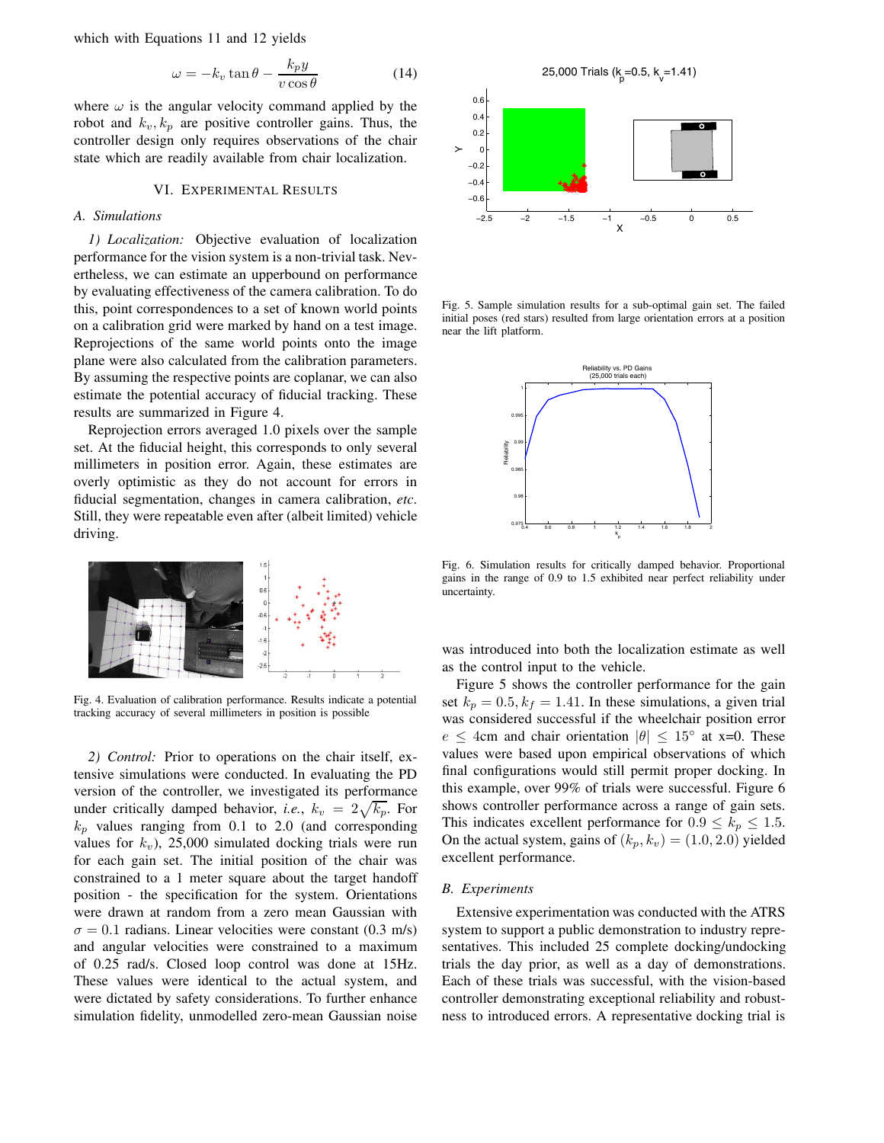which with Equations 11 and 12 yields

$$
\omega = -k_v \tan \theta - \frac{k_p y}{v \cos \theta} \tag{14}
$$

where  $\omega$  is the angular velocity command applied by the robot and  $k_v, k_p$  are positive controller gains. Thus, the controller design only requires observations of the chair state which are readily available from chair localization.

# VI. EXPERIMENTAL RESULTS

#### *A. Simulations*

*1) Localization:* Objective evaluation of localization performance for the vision system is a non-trivial task. Nevertheless, we can estimate an upperbound on performance by evaluating effectiveness of the camera calibration. To do this, point correspondences to a set of known world points on a calibration grid were marked by hand on a test image. Reprojections of the same world points onto the image plane were also calculated from the calibration parameters. By assuming the respective points are coplanar, we can also estimate the potential accuracy of fiducial tracking. These results are summarized in Figure 4.

Reprojection errors averaged 1.0 pixels over the sample set. At the fiducial height, this corresponds to only several millimeters in position error. Again, these estimates are overly optimistic as they do not account for errors in fiducial segmentation, changes in camera calibration, *etc*. Still, they were repeatable even after (albeit limited) vehicle driving.



Fig. 4. Evaluation of calibration performance. Results indicate a potential tracking accuracy of several millimeters in position is possible

*2) Control:* Prior to operations on the chair itself, extensive simulations were conducted. In evaluating the PD version of the controller, we investigated its performance under critically damped behavior, *i.e.*,  $k_v = 2\sqrt{k_p}$ . For  $k_p$  values ranging from 0.1 to 2.0 (and corresponding values for  $k_v$ ), 25,000 simulated docking trials were run for each gain set. The initial position of the chair was constrained to a 1 meter square about the target handoff position - the specification for the system. Orientations were drawn at random from a zero mean Gaussian with  $\sigma = 0.1$  radians. Linear velocities were constant (0.3 m/s) and angular velocities were constrained to a maximum of 0.25 rad/s. Closed loop control was done at 15Hz. These values were identical to the actual system, and were dictated by safety considerations. To further enhance simulation fidelity, unmodelled zero-mean Gaussian noise



Fig. 5. Sample simulation results for a sub-optimal gain set. The failed initial poses (red stars) resulted from large orientation errors at a position near the lift platform.



Fig. 6. Simulation results for critically damped behavior. Proportional gains in the range of 0.9 to 1.5 exhibited near perfect reliability under uncertainty.

was introduced into both the localization estimate as well as the control input to the vehicle.

Figure 5 shows the controller performance for the gain set  $k_p = 0.5$ ,  $k_f = 1.41$ . In these simulations, a given trial was considered successful if the wheelchair position error  $e \leq 4$ cm and chair orientation  $|\theta| \leq 15^{\circ}$  at x=0. These values were based upon empirical observations of which final configurations would still permit proper docking. In this example, over 99% of trials were successful. Figure 6 shows controller performance across a range of gain sets. This indicates excellent performance for  $0.9 \leq k_p \leq 1.5$ . On the actual system, gains of  $(k_p, k_v) = (1.0, 2.0)$  yielded excellent performance.

## *B. Experiments*

Extensive experimentation was conducted with the ATRS system to support a public demonstration to industry representatives. This included 25 complete docking/undocking trials the day prior, as well as a day of demonstrations. Each of these trials was successful, with the vision-based controller demonstrating exceptional reliability and robustness to introduced errors. A representative docking trial is